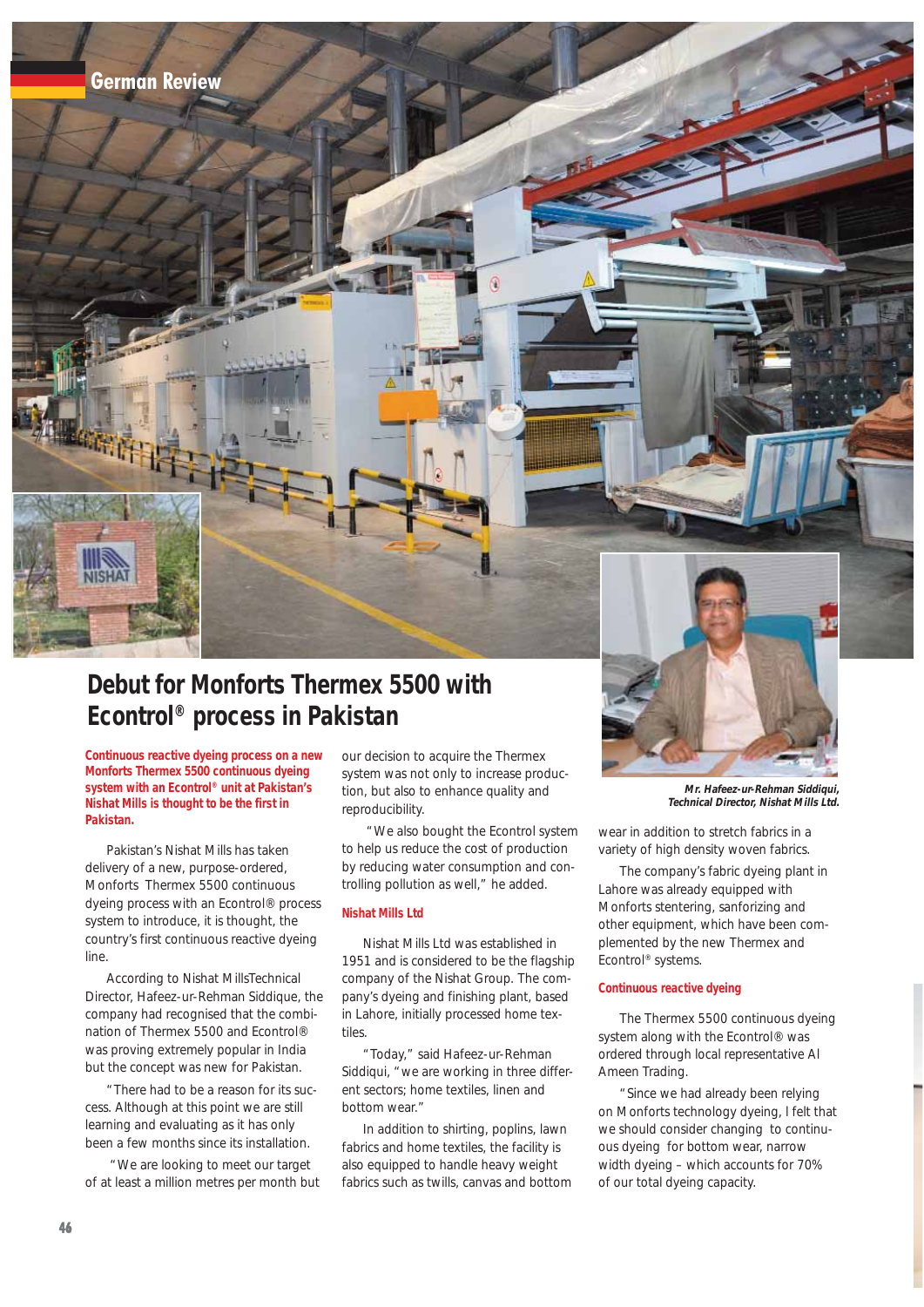

# **Debut for Monforts Thermex 5500 with Econtrol® process in Pakistan**

**Continuous reactive dyeing process on a new Monforts Thermex 5500 continuous dyeing system with an Econtrol® unit at Pakistan's Nishat Mills is thought to be the first in Pakistan.**

Pakistan's Nishat Mills has taken delivery of a new, purpose-ordered, Monforts Thermex 5500 continuous dyeing process with an Econtrol® process system to introduce, it is thought, the country's first continuous reactive dyeing line.

According to Nishat MillsTechnical Director, Hafeez-ur-Rehman Siddique, the company had recognised that the combination of Thermex 5500 and Econtrol® was proving extremely popular in India but the concept was new for Pakistan.

"There had to be a reason for its success. Although at this point we are still learning and evaluating as it has only been a few months since its installation.

"We are looking to meet our target of at least a million metres per month but our decision to acquire the Thermex system was not only to increase production, but also to enhance quality and reproducibility.

"We also bought the Econtrol system to help us reduce the cost of production by reducing water consumption and controlling pollution as well," he added.

## **Nishat Mills Ltd**

Nishat Mills Ltd was established in 1951 and is considered to be the flagship company of the Nishat Group. The company's dyeing and finishing plant, based in Lahore, initially processed home textiles.

"Today," said Hafeez-ur-Rehman Siddiqui, "we are working in three different sectors; home textiles, linen and bottom wear."

In addition to shirting, poplins, lawn fabrics and home textiles, the facility is also equipped to handle heavy weight fabrics such as twills, canvas and bottom



**Mr. Hafeez-ur-Rehman Siddiqui, Technical Director, Nishat Mills Ltd.**

wear in addition to stretch fabrics in a variety of high density woven fabrics.

The company's fabric dyeing plant in Lahore was already equipped with Monforts stentering, sanforizing and other equipment, which have been complemented by the new Thermex and Econtrol® systems.

#### **Continuous reactive dyeing**

The Thermex 5500 continuous dyeing system along with the Econtrol® was ordered through local representative Al Ameen Trading.

"Since we had already been relying on Monforts technology dyeing, l felt that we should consider changing to continuous dyeing for bottom wear, narrow width dyeing – which accounts for 70% of our total dyeing capacity.